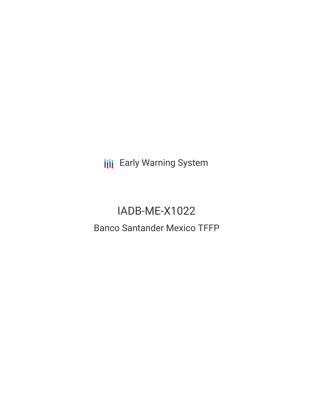**III** Early Warning System

# IADB-ME-X1022 Banco Santander Mexico TFFP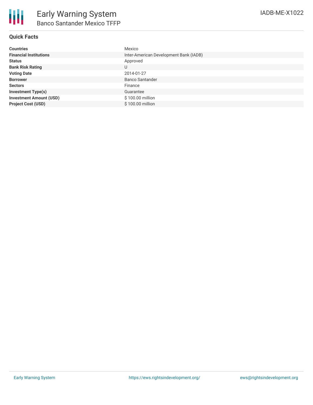## **Quick Facts**

| <b>Countries</b>               | Mexico                                 |
|--------------------------------|----------------------------------------|
| <b>Financial Institutions</b>  | Inter-American Development Bank (IADB) |
| <b>Status</b>                  | Approved                               |
| <b>Bank Risk Rating</b>        | U                                      |
| <b>Voting Date</b>             | 2014-01-27                             |
| <b>Borrower</b>                | <b>Banco Santander</b>                 |
| <b>Sectors</b>                 | Finance                                |
| <b>Investment Type(s)</b>      | Guarantee                              |
| <b>Investment Amount (USD)</b> | \$100.00 million                       |
| <b>Project Cost (USD)</b>      | \$100.00 million                       |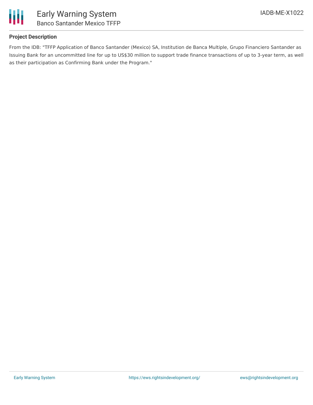

## **Project Description**

From the IDB: "TFFP Application of Banco Santander (Mexico) SA, Institution de Banca Multiple, Grupo Financiero Santander as Issuing Bank for an uncommitted line for up to US\$30 million to support trade finance transactions of up to 3-year term, as well as their participation as Confirming Bank under the Program."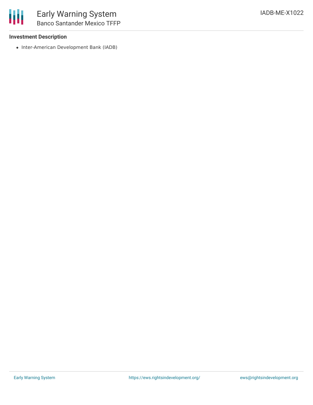#### **Investment Description**

• Inter-American Development Bank (IADB)